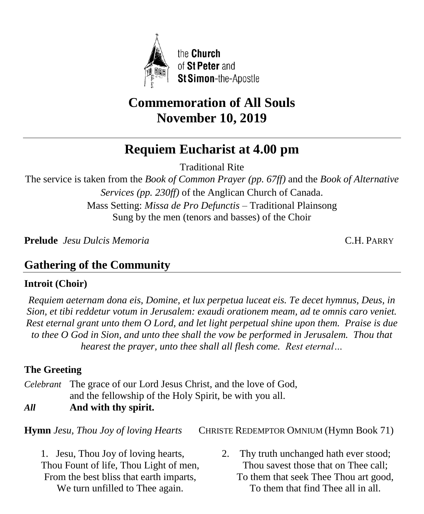

# **Commemoration of All Souls November 10, 2019**

# **Requiem Eucharist at 4.00 pm**

Traditional Rite

The service is taken from the *Book of Common Prayer (pp. 67ff)* and the *Book of Alternative Services (pp. 230ff)* of the Anglican Church of Canada. Mass Setting: *Missa de Pro Defunctis* – Traditional Plainsong Sung by the men (tenors and basses) of the Choir

**Prelude** *Jesu Dulcis Memoria* C.H. PARRY

# **Gathering of the Community**

# **Introit (Choir)**

*Requiem aeternam dona eis, Domine, et lux perpetua luceat eis. Te decet hymnus, Deus, in Sion, et tibi reddetur votum in Jerusalem: exaudi orationem meam, ad te omnis caro veniet. Rest eternal grant unto them O Lord, and let light perpetual shine upon them. Praise is due to thee O God in Sion, and unto thee shall the vow be performed in Jerusalem. Thou that hearest the prayer, unto thee shall all flesh come. Rest eternal…*

# **The Greeting**

*Celebrant* The grace of our Lord Jesus Christ, and the love of God, and the fellowship of the Holy Spirit, be with you all.

*All* **And with thy spirit.**

**Hymn** *Jesu, Thou Joy of loving Hearts* CHRISTE REDEMPTOR OMNIUM (Hymn Book 71)

1. Jesu, Thou Joy of loving hearts, Thou Fount of life, Thou Light of men, From the best bliss that earth imparts, We turn unfilled to Thee again.

2. Thy truth unchanged hath ever stood; Thou savest those that on Thee call; To them that seek Thee Thou art good, To them that find Thee all in all.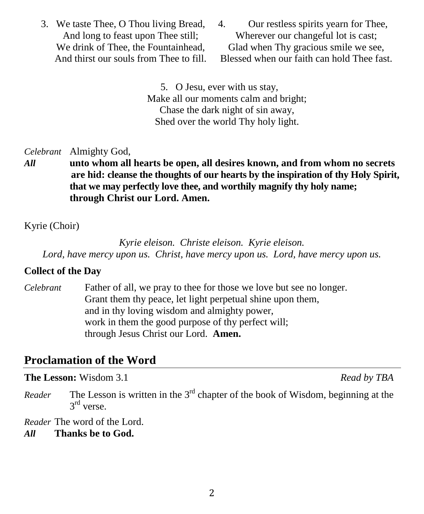- 3. We taste Thee, O Thou living Bread, And long to feast upon Thee still; We drink of Thee, the Fountainhead. And thirst our souls from Thee to fill.
- 4. Our restless spirits yearn for Thee, Wherever our changeful lot is cast; Glad when Thy gracious smile we see, Blessed when our faith can hold Thee fast.

5. O Jesu, ever with us stay, Make all our moments calm and bright; Chase the dark night of sin away, Shed over the world Thy holy light.

*Celebrant* Almighty God,

*All* **unto whom all hearts be open, all desires known, and from whom no secrets are hid: cleanse the thoughts of our hearts by the inspiration of thy Holy Spirit, that we may perfectly love thee, and worthily magnify thy holy name; through Christ our Lord. Amen.**

Kyrie (Choir)

*Kyrie eleison. Christe eleison. Kyrie eleison. Lord, have mercy upon us. Christ, have mercy upon us. Lord, have mercy upon us.*

#### **Collect of the Day**

*Celebrant* Father of all, we pray to thee for those we love but see no longer. Grant them thy peace, let light perpetual shine upon them, and in thy loving wisdom and almighty power, work in them the good purpose of thy perfect will; through Jesus Christ our Lord. **Amen.**

# **Proclamation of the Word**

**The Lesson:** Wisdom 3.1 *Read by TBA* 

*Reader* The Lesson is written in the  $3<sup>rd</sup>$  chapter of the book of Wisdom, beginning at the 3<sup>rd</sup> verse.

*Reader* The word of the Lord.

*All* **Thanks be to God.**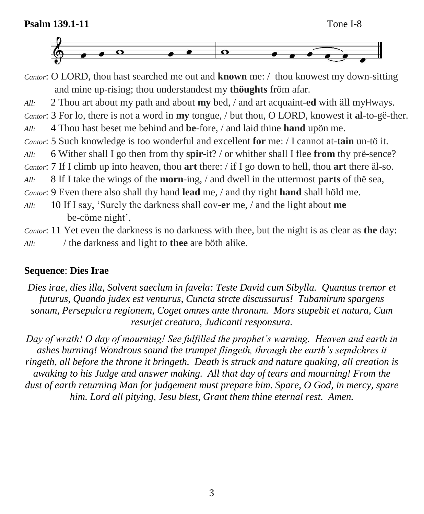

- *Cantor*: O LORD, thou hast searched me out and **known** me: / thou knowest my down-sitting and mine up-rising; thou understandest my **thöughts** fröm afar.
- *All:*2 Thou art about my path and about **my** bed, / and art acquaint-**ed** with äll myHways.
- *Cantor*: 3 For lo, there is not a word in **my** tongue, / but thou, O LORD, knowest it **al**-to-gë-ther.
- *All:*4 Thou hast beset me behind and **be**-fore, / and laid thine **hand** upön me.
- *Cantor*: 5 Such knowledge is too wonderful and excellent **for** me: / I cannot at-**tain** un-tö it.
- *All:*6 Wither shall I go then from thy **spir**-it? / or whither shall I flee **from** thy prë-sence?
- *Cantor*: 7 If I climb up into heaven, thou **art** there: / if I go down to hell, thou **art** there äl-so.

*All:*8 If I take the wings of the **morn**-ing, / and dwell in the uttermost **parts** of thë sea,

*Cantor*: 9 Even there also shall thy hand **lead** me, / and thy right **hand** shall höld me.

*All:*10 If I say, 'Surely the darkness shall cov-**er** me, / and the light about **me** be-cöme night',

*Cantor*: 11 Yet even the darkness is no darkness with thee, but the night is as clear as **the** day: *All:*/ the darkness and light to **thee** are böth alike.

## **Sequence**: **Dies Irae**

*Dies irae, dies illa, Solvent saeclum in favela: Teste David cum Sibylla. Quantus tremor et futurus, Quando judex est venturus, Cuncta strcte discussurus! Tubamirum spargens sonum, Persepulcra regionem, Coget omnes ante thronum. Mors stupebit et natura, Cum resurjet creatura, Judicanti responsura.*

*Day of wrath! O day of mourning! See fulfilled the prophet's warning. Heaven and earth in ashes burning! Wondrous sound the trumpet flingeth, through the earth's sepulchres it ringeth, all before the throne it bringeth. Death is struck and nature quaking, all creation is awaking to his Judge and answer making. All that day of tears and mourning! From the dust of earth returning Man for judgement must prepare him. Spare, O God, in mercy, spare him. Lord all pitying, Jesu blest, Grant them thine eternal rest. Amen.*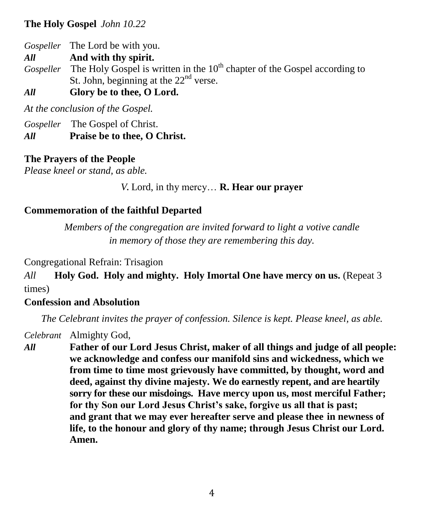#### **The Holy Gospel** *John 10.22*

*Gospeller* The Lord be with you.

*All* **And with thy spirit.**

- *Gospeller* The Holy Gospel is written in the 10<sup>th</sup> chapter of the Gospel according to St. John, beginning at the  $22<sup>nd</sup>$  verse.
- *All* **Glory be to thee, O Lord.**

*At the conclusion of the Gospel.*

*Gospeller* The Gospel of Christ.

*All* **Praise be to thee, O Christ.**

#### **The Prayers of the People**

*Please kneel or stand, as able.*

#### *V.* Lord, in thy mercy… **R. Hear our prayer**

#### **Commemoration of the faithful Departed**

*Members of the congregation are invited forward to light a votive candle in memory of those they are remembering this day.*

Congregational Refrain: Trisagion

*All* **Holy God. Holy and mighty. Holy Imortal One have mercy on us.** (Repeat 3 times)

#### **Confession and Absolution**

*The Celebrant invites the prayer of confession. Silence is kept. Please kneel, as able.*

*Celebrant* Almighty God,

*All* **Father of our Lord Jesus Christ, maker of all things and judge of all people: we acknowledge and confess our manifold sins and wickedness, which we from time to time most grievously have committed, by thought, word and deed, against thy divine majesty. We do earnestly repent, and are heartily sorry for these our misdoings. Have mercy upon us, most merciful Father; for thy Son our Lord Jesus Christ's sake, forgive us all that is past; and grant that we may ever hereafter serve and please thee in newness of life, to the honour and glory of thy name; through Jesus Christ our Lord. Amen.**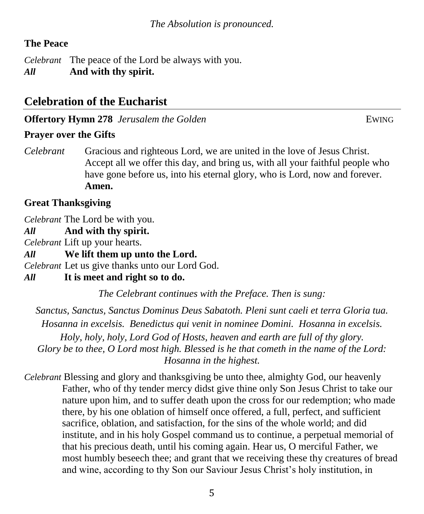### **The Peace**

*Celebrant* The peace of the Lord be always with you. *All* **And with thy spirit.**

# **Celebration of the Eucharist**

**Offertory Hymn 278** *Jerusalem the Golden* **EWING** 

#### **Prayer over the Gifts**

*Celebrant* Gracious and righteous Lord, we are united in the love of Jesus Christ. Accept all we offer this day, and bring us, with all your faithful people who have gone before us, into his eternal glory, who is Lord, now and forever. **Amen.**

#### **Great Thanksgiving**

*Celebrant* The Lord be with you.

*All* **And with thy spirit.** 

*Celebrant* Lift up your hearts.

*All* **We lift them up unto the Lord.**

*Celebrant* Let us give thanks unto our Lord God.

#### *All* **It is meet and right so to do.**

*The Celebrant continues with the Preface. Then is sung:*

*Sanctus, Sanctus, Sanctus Dominus Deus Sabatoth. Pleni sunt caeli et terra Gloria tua. Hosanna in excelsis. Benedictus qui venit in nominee Domini. Hosanna in excelsis. Holy, holy, holy, Lord God of Hosts, heaven and earth are full of thy glory. Glory be to thee, O Lord most high. Blessed is he that cometh in the name of the Lord: Hosanna in the highest.*

*Celebrant* Blessing and glory and thanksgiving be unto thee, almighty God, our heavenly Father, who of thy tender mercy didst give thine only Son Jesus Christ to take our nature upon him, and to suffer death upon the cross for our redemption; who made there, by his one oblation of himself once offered, a full, perfect, and sufficient sacrifice, oblation, and satisfaction, for the sins of the whole world; and did institute, and in his holy Gospel command us to continue, a perpetual memorial of that his precious death, until his coming again. Hear us, O merciful Father, we most humbly beseech thee; and grant that we receiving these thy creatures of bread and wine, according to thy Son our Saviour Jesus Christ's holy institution, in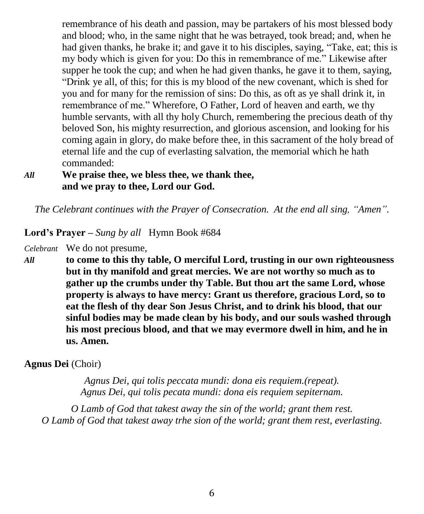remembrance of his death and passion, may be partakers of his most blessed body and blood; who, in the same night that he was betrayed, took bread; and, when he had given thanks, he brake it; and gave it to his disciples, saying, "Take, eat; this is my body which is given for you: Do this in remembrance of me." Likewise after supper he took the cup; and when he had given thanks, he gave it to them, saying, "Drink ye all, of this; for this is my blood of the new covenant, which is shed for you and for many for the remission of sins: Do this, as oft as ye shall drink it, in remembrance of me." Wherefore, O Father, Lord of heaven and earth, we thy humble servants, with all thy holy Church, remembering the precious death of thy beloved Son, his mighty resurrection, and glorious ascension, and looking for his coming again in glory, do make before thee, in this sacrament of the holy bread of eternal life and the cup of everlasting salvation, the memorial which he hath commanded:

#### *All* **We praise thee, we bless thee, we thank thee, and we pray to thee, Lord our God.**

*The Celebrant continues with the Prayer of Consecration. At the end all sing, "Amen".*

#### **Lord's Prayer –** *Sung by all*Hymn Book #684

*Celebrant* We do not presume,

*All* **to come to this thy table, O merciful Lord, trusting in our own righteousness but in thy manifold and great mercies. We are not worthy so much as to gather up the crumbs under thy Table. But thou art the same Lord, whose property is always to have mercy: Grant us therefore, gracious Lord, so to eat the flesh of thy dear Son Jesus Christ, and to drink his blood, that our sinful bodies may be made clean by his body, and our souls washed through his most precious blood, and that we may evermore dwell in him, and he in us. Amen.**

#### **Agnus Dei** (Choir)

*Agnus Dei, qui tolis peccata mundi: dona eis requiem.(repeat). Agnus Dei, qui tolis pecata mundi: dona eis requiem sepiternam.*

*O Lamb of God that takest away the sin of the world; grant them rest. O Lamb of God that takest away trhe sion of the world; grant them rest, everlasting.*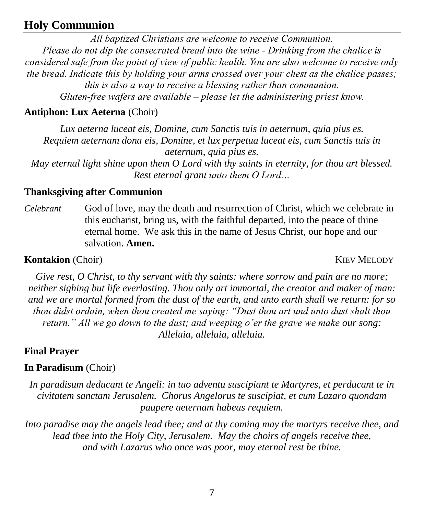# **Holy Communion**

*All baptized Christians are welcome to receive Communion. Please do not dip the consecrated bread into the wine - Drinking from the chalice is considered safe from the point of view of public health. You are also welcome to receive only the bread. Indicate this by holding your arms crossed over your chest as the chalice passes; this is also a way to receive a blessing rather than communion. Gluten-free wafers are available – please let the administering priest know.*

#### **Antiphon: Lux Aeterna** (Choir)

*Lux aeterna luceat eis, Domine, cum Sanctis tuis in aeternum, quia pius es. Requiem aeternam dona eis, Domine, et lux perpetua luceat eis, cum Sanctis tuis in aeternum, quia pius es.*

*May eternal light shine upon them O Lord with thy saints in eternity, for thou art blessed. Rest eternal grant unto them O Lord…*

#### **Thanksgiving after Communion**

*Celebrant* God of love, may the death and resurrection of Christ, which we celebrate in this eucharist, bring us, with the faithful departed, into the peace of thine eternal home. We ask this in the name of Jesus Christ, our hope and our salvation. **Amen.**

#### **Kontakion** (Choir) KIEV MELODY

*Give rest, O Christ, to thy servant with thy saints: where sorrow and pain are no more; neither sighing but life everlasting. Thou only art immortal, the creator and maker of man: and we are mortal formed from the dust of the earth, and unto earth shall we return: for so thou didst ordain, when thou created me saying: "Dust thou art und unto dust shalt thou return." All we go down to the dust; and weeping o'er the grave we make our song: Alleluia, alleluia, alleluia.*

### **Final Prayer**

#### **In Paradisum** (Choir)

*In paradisum deducant te Angeli: in tuo adventu suscipiant te Martyres, et perducant te in civitatem sanctam Jerusalem. Chorus Angelorus te suscipiat, et cum Lazaro quondam paupere aeternam habeas requiem.*

*Into paradise may the angels lead thee; and at thy coming may the martyrs receive thee, and lead thee into the Holy City, Jerusalem. May the choirs of angels receive thee, and with Lazarus who once was poor, may eternal rest be thine.*